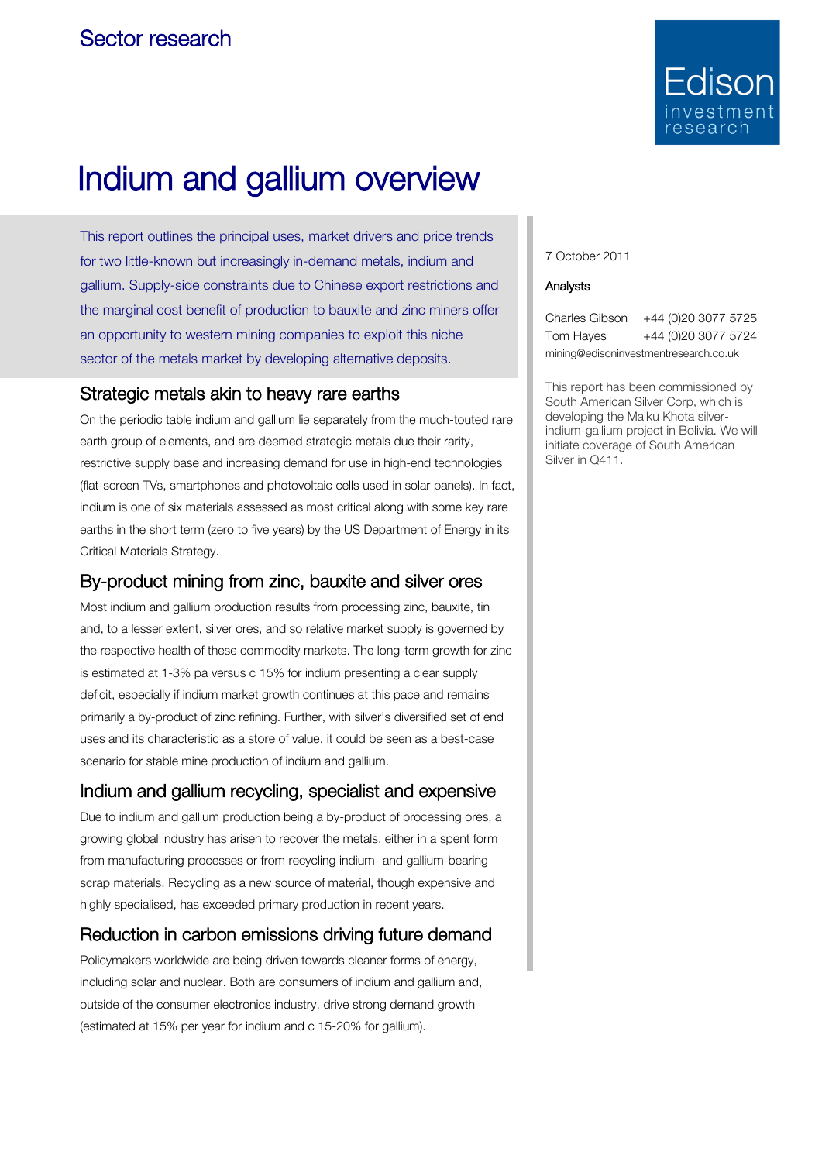

# Indium and gallium overview

This report outlines the principal uses, market drivers and price trends for two little-known but increasingly in-demand metals, indium and gallium. Supply-side constraints due to Chinese export restrictions and the marginal cost benefit of production to bauxite and zinc miners offer an opportunity to western mining companies to exploit this niche sector of the metals market by developing alternative deposits.

### Strategic metals akin to heavy rare earths

On the periodic table indium and gallium lie separately from the much-touted rare earth group of elements, and are deemed strategic metals due their rarity, restrictive supply base and increasing demand for use in high-end technologies (flat-screen TVs, smartphones and photovoltaic cells used in solar panels). In fact, indium is one of six materials assessed as most critical along with some key rare earths in the short term (zero to five years) by the US Department of Energy in its Critical Materials Strategy.

## By-product mining from zinc, bauxite and silver ores

Most indium and gallium production results from processing zinc, bauxite, tin and, to a lesser extent, silver ores, and so relative market supply is governed by the respective health of these commodity markets. The long-term growth for zinc is estimated at 1-3% pa versus c 15% for indium presenting a clear supply deficit, especially if indium market growth continues at this pace and remains primarily a by-product of zinc refining. Further, with silver's diversified set of end uses and its characteristic as a store of value, it could be seen as a best-case scenario for stable mine production of indium and gallium.

# Indium and gallium recycling, specialist and expensive

Due to indium and gallium production being a by-product of processing ores, a growing global industry has arisen to recover the metals, either in a spent form from manufacturing processes or from recycling indium- and gallium-bearing scrap materials. Recycling as a new source of material, though expensive and highly specialised, has exceeded primary production in recent years.

# Reduction in carbon emissions driving future demand

Policymakers worldwide are being driven towards cleaner forms of energy, including solar and nuclear. Both are consumers of indium and gallium and, outside of the consumer electronics industry, drive strong demand growth (estimated at 15% per year for indium and c 15-20% for gallium).

7 October 2011

#### Analysts

Charles Gibson +44 (0)20 3077 5725 Tom Hayes +44 (0)20 3077 5724 mining@edisoninvestmentresearch.co.uk

This report has been commissioned by South American Silver Corp, which is developing the Malku Khota silverindium-gallium project in Bolivia. We will initiate coverage of South American Silver in Q411.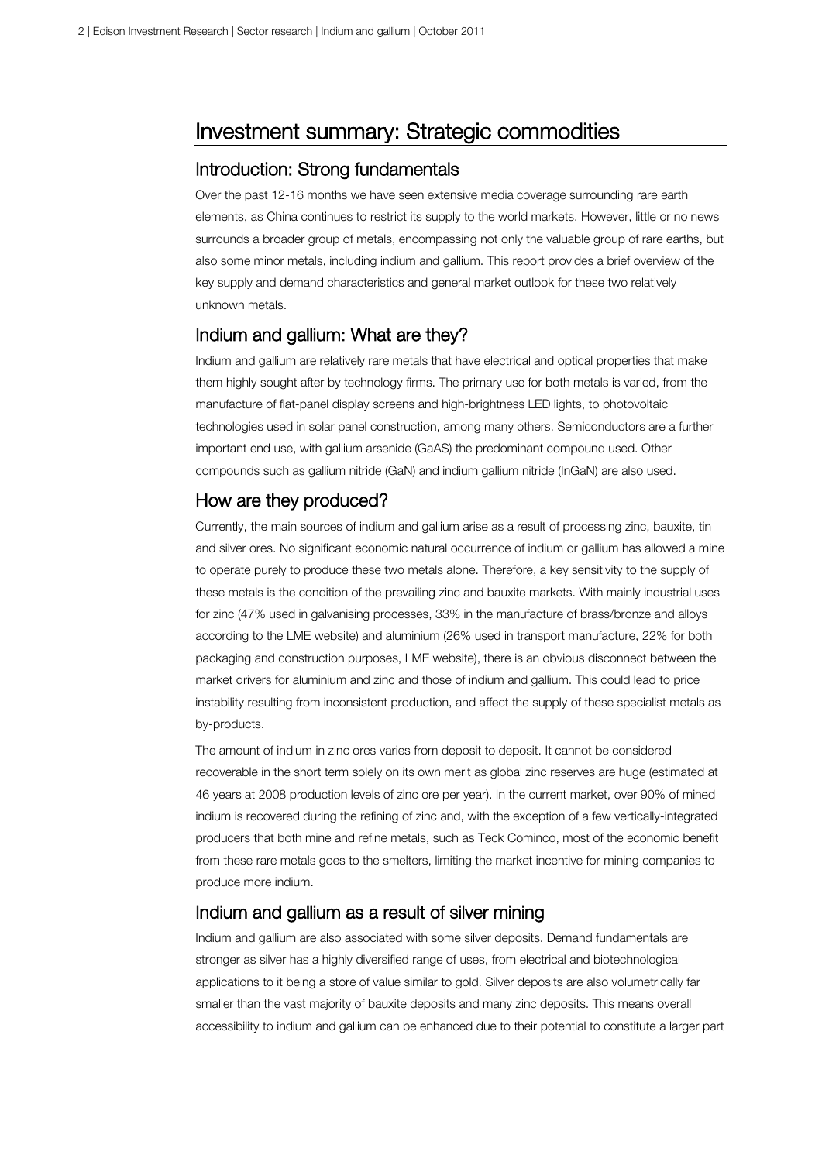# Investment summary: Strategic commodities

### Introduction: Strong fundamentals

Over the past 12-16 months we have seen extensive media coverage surrounding rare earth elements, as China continues to restrict its supply to the world markets. However, little or no news surrounds a broader group of metals, encompassing not only the valuable group of rare earths, but also some minor metals, including indium and gallium. This report provides a brief overview of the key supply and demand characteristics and general market outlook for these two relatively unknown metals.

### Indium and gallium: What are they?

Indium and gallium are relatively rare metals that have electrical and optical properties that make them highly sought after by technology firms. The primary use for both metals is varied, from the manufacture of flat-panel display screens and high-brightness LED lights, to photovoltaic technologies used in solar panel construction, among many others. Semiconductors are a further important end use, with gallium arsenide (GaAS) the predominant compound used. Other compounds such as gallium nitride (GaN) and indium gallium nitride (InGaN) are also used.

### How are they produced?

Currently, the main sources of indium and gallium arise as a result of processing zinc, bauxite, tin and silver ores. No significant economic natural occurrence of indium or gallium has allowed a mine to operate purely to produce these two metals alone. Therefore, a key sensitivity to the supply of these metals is the condition of the prevailing zinc and bauxite markets. With mainly industrial uses for zinc (47% used in galvanising processes, 33% in the manufacture of brass/bronze and alloys according to the LME website) and aluminium (26% used in transport manufacture, 22% for both packaging and construction purposes, LME website), there is an obvious disconnect between the market drivers for aluminium and zinc and those of indium and gallium. This could lead to price instability resulting from inconsistent production, and affect the supply of these specialist metals as by-products.

The amount of indium in zinc ores varies from deposit to deposit. It cannot be considered recoverable in the short term solely on its own merit as global zinc reserves are huge (estimated at 46 years at 2008 production levels of zinc ore per year). In the current market, over 90% of mined indium is recovered during the refining of zinc and, with the exception of a few vertically-integrated producers that both mine and refine metals, such as Teck Cominco, most of the economic benefit from these rare metals goes to the smelters, limiting the market incentive for mining companies to produce more indium.

### Indium and gallium as a result of silver mining

Indium and gallium are also associated with some silver deposits. Demand fundamentals are stronger as silver has a highly diversified range of uses, from electrical and biotechnological applications to it being a store of value similar to gold. Silver deposits are also volumetrically far smaller than the vast majority of bauxite deposits and many zinc deposits. This means overall accessibility to indium and gallium can be enhanced due to their potential to constitute a larger part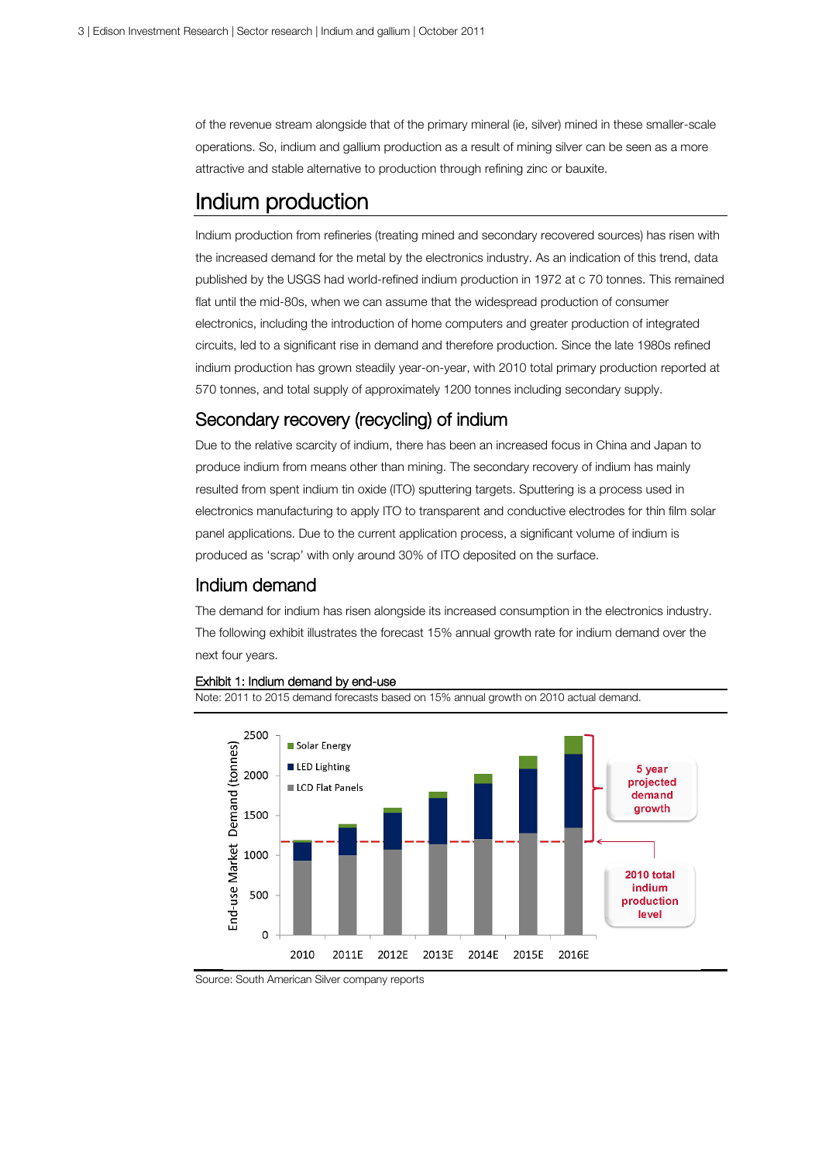of the revenue stream alongside that of the primary mineral (ie, silver) mined in these smaller-scale operations. So, indium and gallium production as a result of mining silver can be seen as a more attractive and stable alternative to production through refining zinc or bauxite.

# Indium production

Indium production from refineries (treating mined and secondary recovered sources) has risen with the increased demand for the metal by the electronics industry. As an indication of this trend, data published by the USGS had world-refined indium production in 1972 at c 70 tonnes. This remained flat until the mid-80s, when we can assume that the widespread production of consumer electronics, including the introduction of home computers and greater production of integrated circuits, led to a significant rise in demand and therefore production. Since the late 1980s refined indium production has grown steadily year-on-year, with 2010 total primary production reported at 570 tonnes, and total supply of approximately 1200 tonnes including secondary supply.

### Secondary recovery (recycling) of indium

Due to the relative scarcity of indium, there has been an increased focus in China and Japan to produce indium from means other than mining. The secondary recovery of indium has mainly resulted from spent indium tin oxide (ITO) sputtering targets. Sputtering is a process used in electronics manufacturing to apply ITO to transparent and conductive electrodes for thin film solar panel applications. Due to the current application process, a significant volume of indium is produced as 'scrap' with only around 30% of ITO deposited on the surface.

### Indium demand

The demand for indium has risen alongside its increased consumption in the electronics industry. The following exhibit illustrates the forecast 15% annual growth rate for indium demand over the next four years.



#### Exhibit 1: Indium demand by end-use

Note: 2011 to 2015 demand forecasts based on 15% annual growth on 2010 actual demand.

Source: South American Silver company reports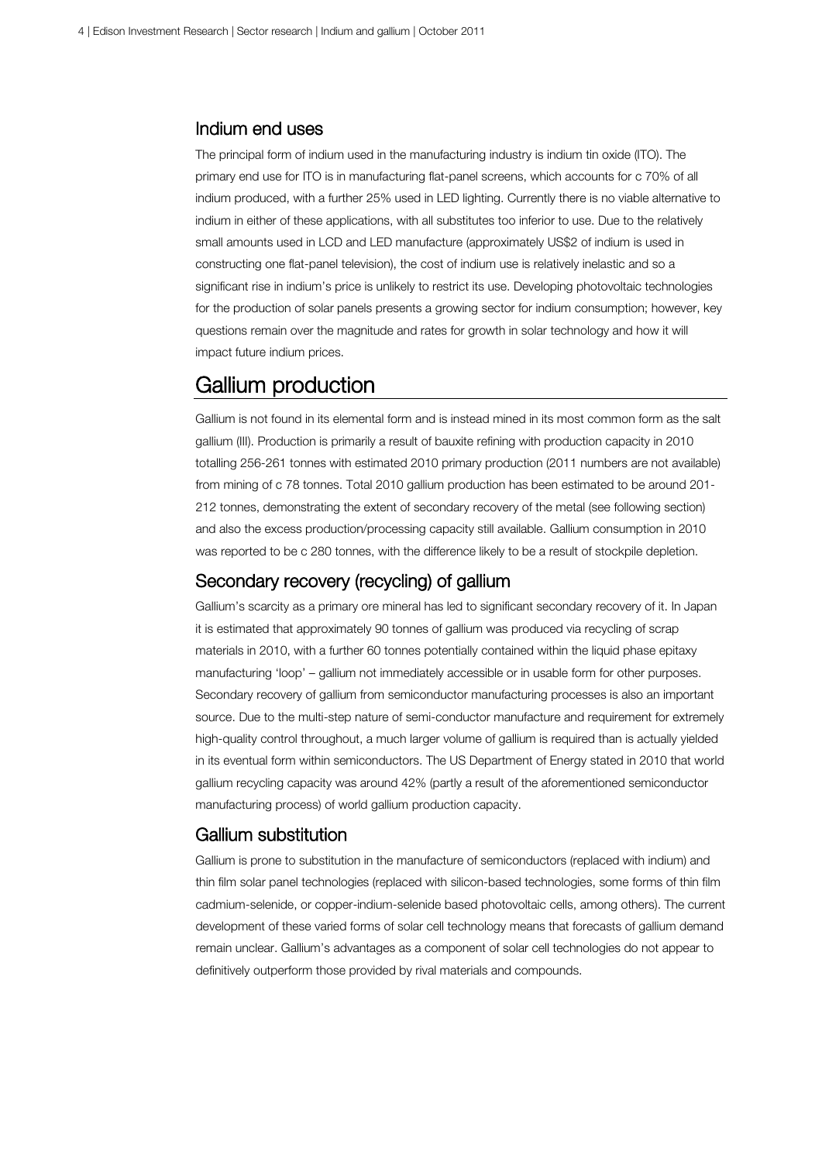### Indium end uses

The principal form of indium used in the manufacturing industry is indium tin oxide (ITO). The primary end use for ITO is in manufacturing flat-panel screens, which accounts for c 70% of all indium produced, with a further 25% used in LED lighting. Currently there is no viable alternative to indium in either of these applications, with all substitutes too inferior to use. Due to the relatively small amounts used in LCD and LED manufacture (approximately US\$2 of indium is used in constructing one flat-panel television), the cost of indium use is relatively inelastic and so a significant rise in indium's price is unlikely to restrict its use. Developing photovoltaic technologies for the production of solar panels presents a growing sector for indium consumption; however, key questions remain over the magnitude and rates for growth in solar technology and how it will impact future indium prices.

### Gallium production

Gallium is not found in its elemental form and is instead mined in its most common form as the salt gallium (III). Production is primarily a result of bauxite refining with production capacity in 2010 totalling 256-261 tonnes with estimated 2010 primary production (2011 numbers are not available) from mining of c 78 tonnes. Total 2010 gallium production has been estimated to be around 201- 212 tonnes, demonstrating the extent of secondary recovery of the metal (see following section) and also the excess production/processing capacity still available. Gallium consumption in 2010 was reported to be c 280 tonnes, with the difference likely to be a result of stockpile depletion.

### Secondary recovery (recycling) of gallium

Gallium's scarcity as a primary ore mineral has led to significant secondary recovery of it. In Japan it is estimated that approximately 90 tonnes of gallium was produced via recycling of scrap materials in 2010, with a further 60 tonnes potentially contained within the liquid phase epitaxy manufacturing 'loop' – gallium not immediately accessible or in usable form for other purposes. Secondary recovery of gallium from semiconductor manufacturing processes is also an important source. Due to the multi-step nature of semi-conductor manufacture and requirement for extremely high-quality control throughout, a much larger volume of gallium is required than is actually yielded in its eventual form within semiconductors. The US Department of Energy stated in 2010 that world gallium recycling capacity was around 42% (partly a result of the aforementioned semiconductor manufacturing process) of world gallium production capacity.

#### Gallium substitution

Gallium is prone to substitution in the manufacture of semiconductors (replaced with indium) and thin film solar panel technologies (replaced with silicon-based technologies, some forms of thin film cadmium-selenide, or copper-indium-selenide based photovoltaic cells, among others). The current development of these varied forms of solar cell technology means that forecasts of gallium demand remain unclear. Gallium's advantages as a component of solar cell technologies do not appear to definitively outperform those provided by rival materials and compounds.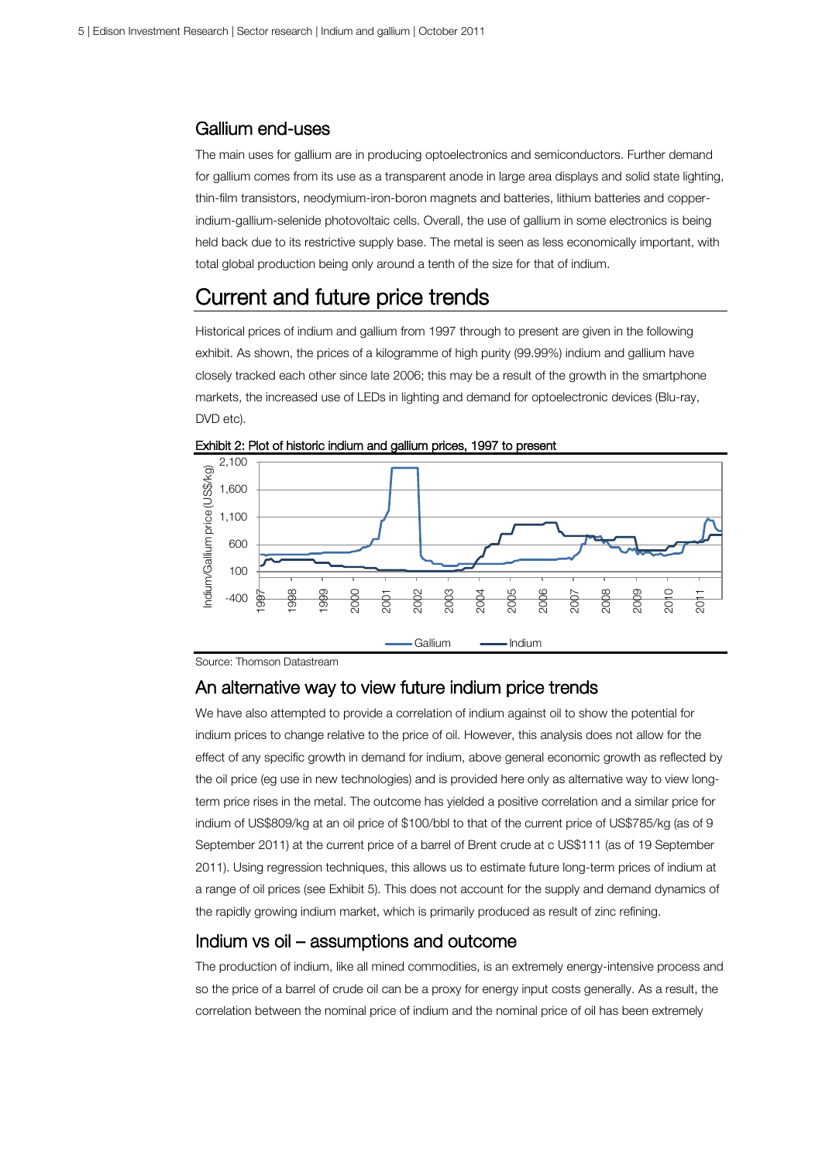#### Gallium end-uses

The main uses for gallium are in producing optoelectronics and semiconductors. Further demand for gallium comes from its use as a transparent anode in large area displays and solid state lighting, thin-film transistors, neodymium-iron-boron magnets and batteries, lithium batteries and copperindium-gallium-selenide photovoltaic cells. Overall, the use of gallium in some electronics is being held back due to its restrictive supply base. The metal is seen as less economically important, with total global production being only around a tenth of the size for that of indium.

### Current and future price trends

Historical prices of indium and gallium from 1997 through to present are given in the following exhibit. As shown, the prices of a kilogramme of high purity (99.99%) indium and gallium have closely tracked each other since late 2006; this may be a result of the growth in the smartphone markets, the increased use of LEDs in lighting and demand for optoelectronic devices (Blu-ray, DVD etc).



Exhibit 2: Plot of historic indium and gallium prices, 1997 to present

Source: Thomson Datastream

### An alternative way to view future indium price trends

We have also attempted to provide a correlation of indium against oil to show the potential for indium prices to change relative to the price of oil. However, this analysis does not allow for the effect of any specific growth in demand for indium, above general economic growth as reflected by the oil price (eg use in new technologies) and is provided here only as alternative way to view longterm price rises in the metal. The outcome has yielded a positive correlation and a similar price for indium of US\$809/kg at an oil price of \$100/bbl to that of the current price of US\$785/kg (as of 9 September 2011) at the current price of a barrel of Brent crude at c US\$111 (as of 19 September 2011). Using regression techniques, this allows us to estimate future long-term prices of indium at a range of oil prices (see Exhibit 5). This does not account for the supply and demand dynamics of the rapidly growing indium market, which is primarily produced as result of zinc refining.

### Indium vs oil – assumptions and outcome

The production of indium, like all mined commodities, is an extremely energy-intensive process and so the price of a barrel of crude oil can be a proxy for energy input costs generally. As a result, the correlation between the nominal price of indium and the nominal price of oil has been extremely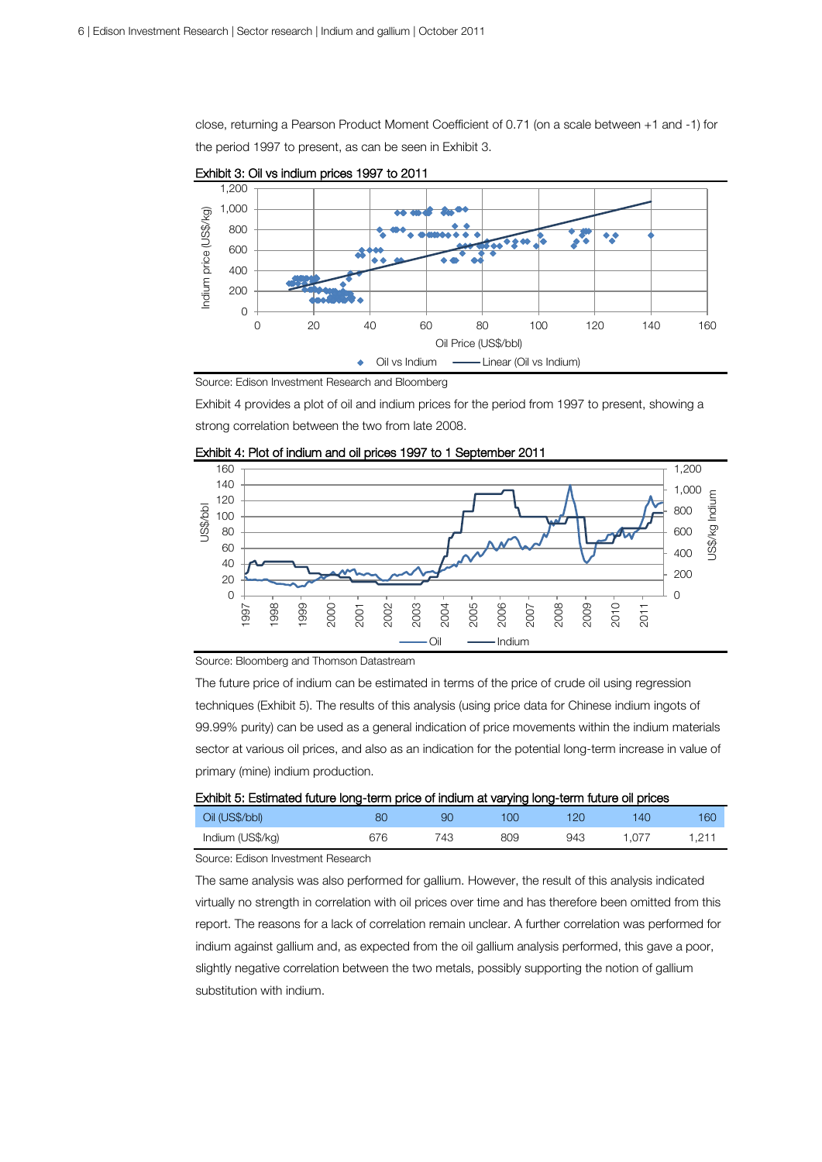close, returning a Pearson Product Moment Coefficient of 0.71 (on a scale between +1 and -1) for the period 1997 to present, as can be seen in Exhibit 3.



Exhibit 3: Oil vs indium prices 1997 to 2011

Source: Edison Investment Research and Bloomberg

Exhibit 4 provides a plot of oil and indium prices for the period from 1997 to present, showing a strong correlation between the two from late 2008.



Exhibit 4: Plot of indium and oil prices 1997 to 1 September 2011

Source: Bloomberg and Thomson Datastream

The future price of indium can be estimated in terms of the price of crude oil using regression techniques (Exhibit 5). The results of this analysis (using price data for Chinese indium ingots of 99.99% purity) can be used as a general indication of price movements within the indium materials sector at various oil prices, and also as an indication for the potential long-term increase in value of primary (mine) indium production.

| Exhibit 5: Estimated future long-term price of indium at varying long-term future oil prices |     |     |              |     |       |       |
|----------------------------------------------------------------------------------------------|-----|-----|--------------|-----|-------|-------|
| Oil (US\$/bbl)                                                                               | 80  | 90  | $($ $\alpha$ | 120 | 140   | 160   |
| Indium (US\$/kg)                                                                             | 676 | 743 | 809          | 943 | 1.077 | 1.211 |
|                                                                                              |     |     |              |     |       |       |

Source: Edison Investment Research

The same analysis was also performed for gallium. However, the result of this analysis indicated virtually no strength in correlation with oil prices over time and has therefore been omitted from this report. The reasons for a lack of correlation remain unclear. A further correlation was performed for indium against gallium and, as expected from the oil gallium analysis performed, this gave a poor, slightly negative correlation between the two metals, possibly supporting the notion of gallium substitution with indium.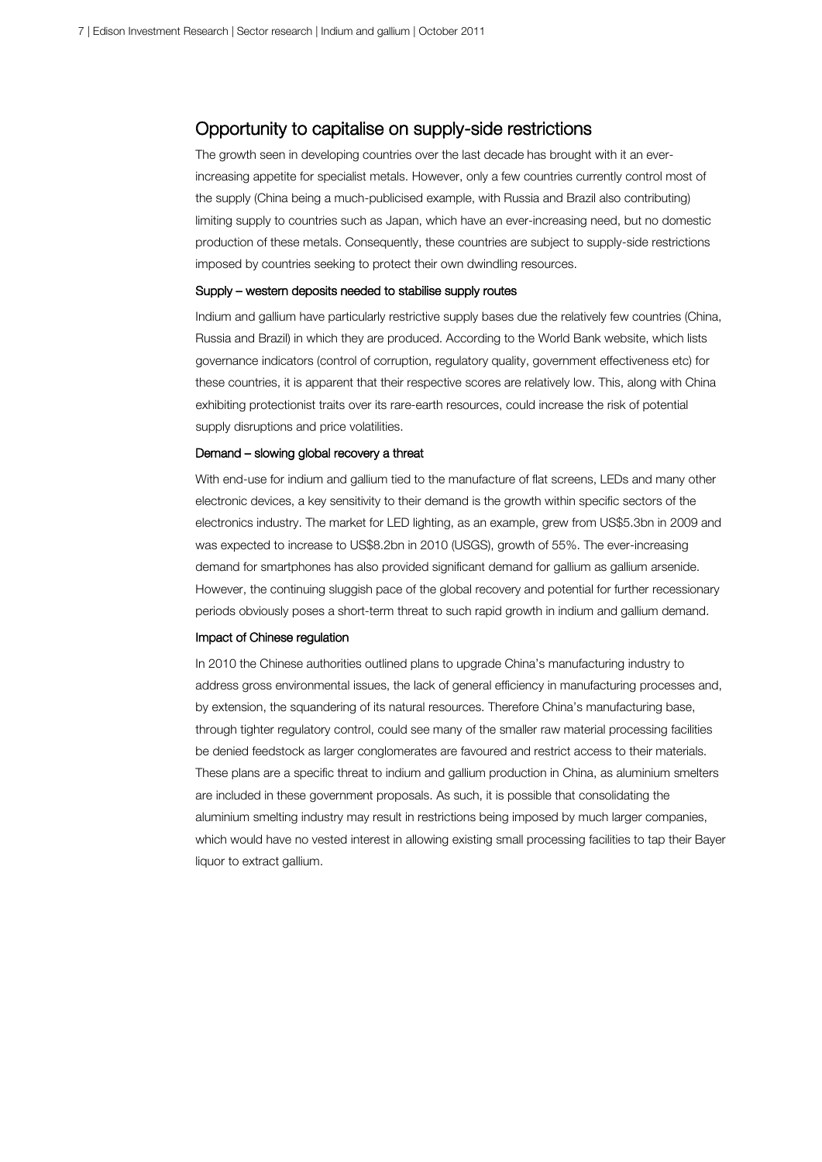### Opportunity to capitalise on supply-side restrictions

The growth seen in developing countries over the last decade has brought with it an everincreasing appetite for specialist metals. However, only a few countries currently control most of the supply (China being a much-publicised example, with Russia and Brazil also contributing) limiting supply to countries such as Japan, which have an ever-increasing need, but no domestic production of these metals. Consequently, these countries are subject to supply-side restrictions imposed by countries seeking to protect their own dwindling resources.

#### Supply – western deposits needed to stabilise supply routes

Indium and gallium have particularly restrictive supply bases due the relatively few countries (China, Russia and Brazil) in which they are produced. According to the World Bank website, which lists governance indicators (control of corruption, regulatory quality, government effectiveness etc) for these countries, it is apparent that their respective scores are relatively low. This, along with China exhibiting protectionist traits over its rare-earth resources, could increase the risk of potential supply disruptions and price volatilities.

#### Demand – slowing global recovery a threat

With end-use for indium and gallium tied to the manufacture of flat screens, LEDs and many other electronic devices, a key sensitivity to their demand is the growth within specific sectors of the electronics industry. The market for LED lighting, as an example, grew from US\$5.3bn in 2009 and was expected to increase to US\$8.2bn in 2010 (USGS), growth of 55%. The ever-increasing demand for smartphones has also provided significant demand for gallium as gallium arsenide. However, the continuing sluggish pace of the global recovery and potential for further recessionary periods obviously poses a short-term threat to such rapid growth in indium and gallium demand.

#### Impact of Chinese regulation

In 2010 the Chinese authorities outlined plans to upgrade China's manufacturing industry to address gross environmental issues, the lack of general efficiency in manufacturing processes and, by extension, the squandering of its natural resources. Therefore China's manufacturing base, through tighter regulatory control, could see many of the smaller raw material processing facilities be denied feedstock as larger conglomerates are favoured and restrict access to their materials. These plans are a specific threat to indium and gallium production in China, as aluminium smelters are included in these government proposals. As such, it is possible that consolidating the aluminium smelting industry may result in restrictions being imposed by much larger companies, which would have no vested interest in allowing existing small processing facilities to tap their Bayer liquor to extract gallium.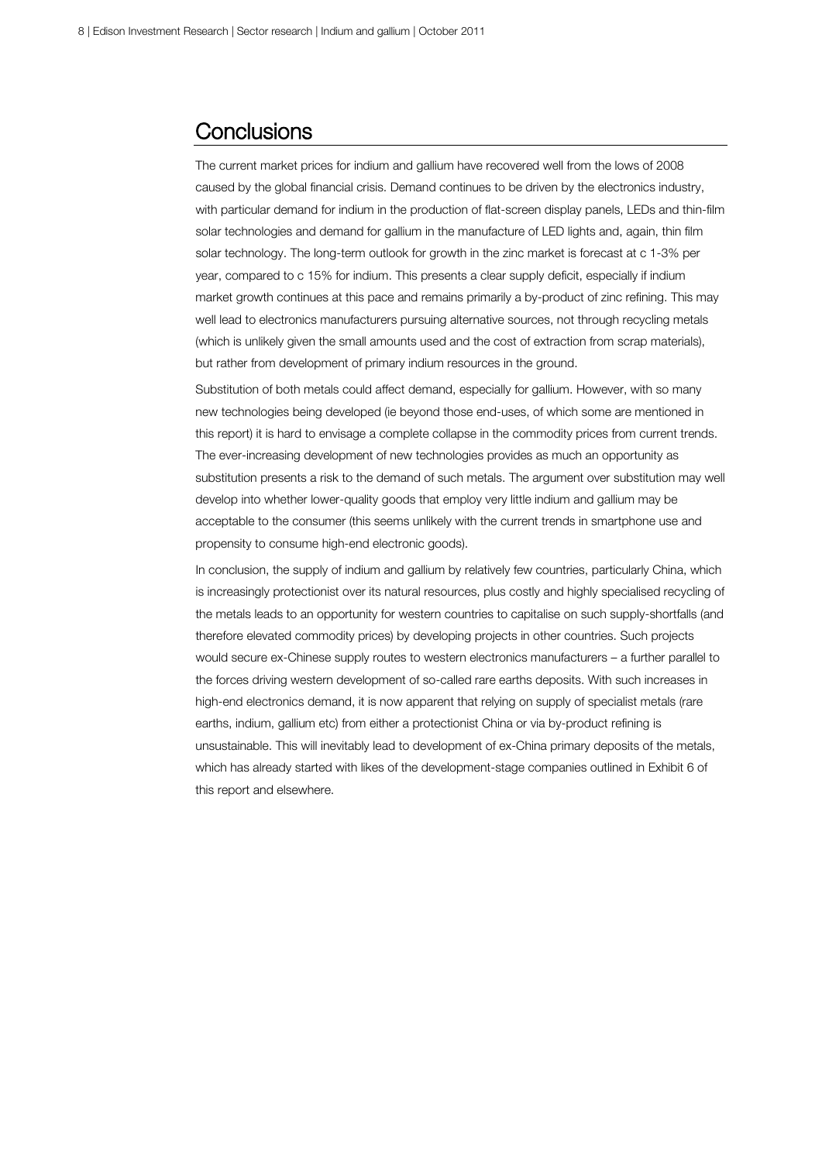## **Conclusions**

The current market prices for indium and gallium have recovered well from the lows of 2008 caused by the global financial crisis. Demand continues to be driven by the electronics industry, with particular demand for indium in the production of flat-screen display panels, LEDs and thin-film solar technologies and demand for gallium in the manufacture of LED lights and, again, thin film solar technology. The long-term outlook for growth in the zinc market is forecast at c 1-3% per year, compared to c 15% for indium. This presents a clear supply deficit, especially if indium market growth continues at this pace and remains primarily a by-product of zinc refining. This may well lead to electronics manufacturers pursuing alternative sources, not through recycling metals (which is unlikely given the small amounts used and the cost of extraction from scrap materials), but rather from development of primary indium resources in the ground.

Substitution of both metals could affect demand, especially for gallium. However, with so many new technologies being developed (ie beyond those end-uses, of which some are mentioned in this report) it is hard to envisage a complete collapse in the commodity prices from current trends. The ever-increasing development of new technologies provides as much an opportunity as substitution presents a risk to the demand of such metals. The argument over substitution may well develop into whether lower-quality goods that employ very little indium and gallium may be acceptable to the consumer (this seems unlikely with the current trends in smartphone use and propensity to consume high-end electronic goods).

In conclusion, the supply of indium and gallium by relatively few countries, particularly China, which is increasingly protectionist over its natural resources, plus costly and highly specialised recycling of the metals leads to an opportunity for western countries to capitalise on such supply-shortfalls (and therefore elevated commodity prices) by developing projects in other countries. Such projects would secure ex-Chinese supply routes to western electronics manufacturers – a further parallel to the forces driving western development of so-called rare earths deposits. With such increases in high-end electronics demand, it is now apparent that relying on supply of specialist metals (rare earths, indium, gallium etc) from either a protectionist China or via by-product refining is unsustainable. This will inevitably lead to development of ex-China primary deposits of the metals, which has already started with likes of the development-stage companies outlined in Exhibit 6 of this report and elsewhere.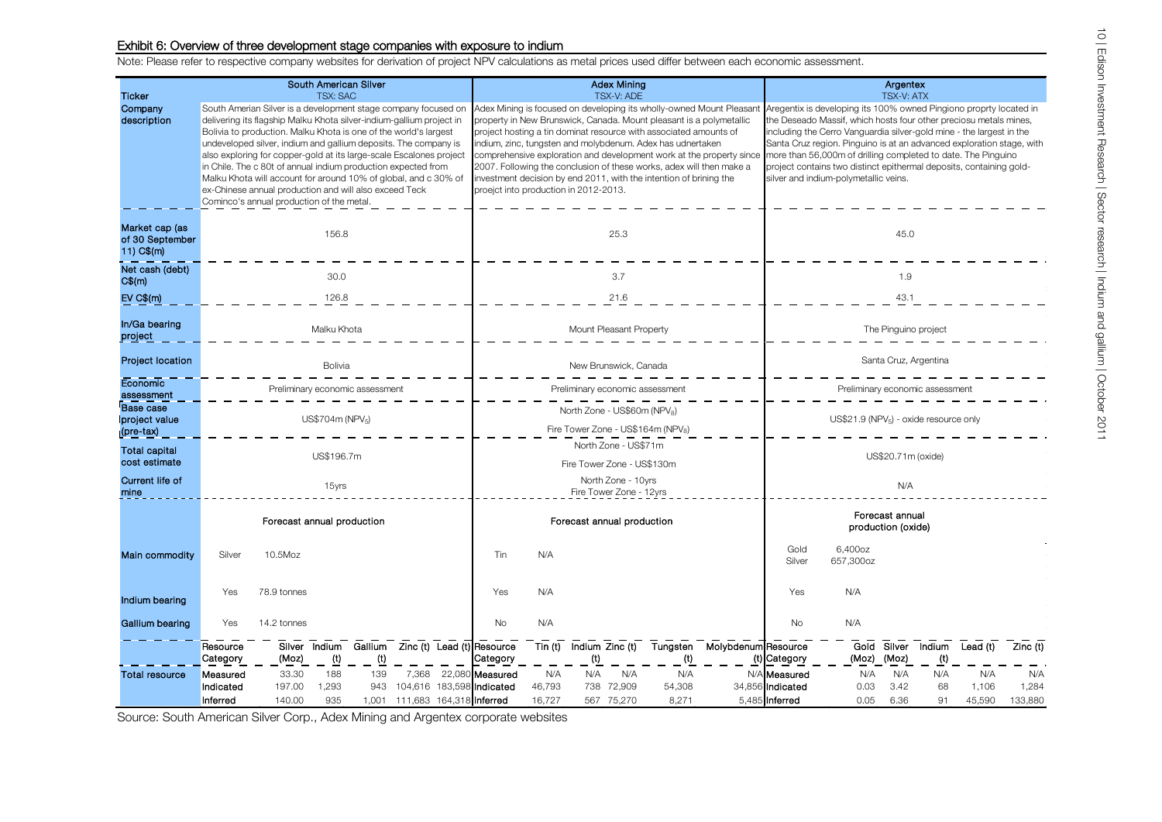#### Exhibit 6: Overview of three development stage companies with exposure to indium

Note: Please refer to respective company websites for derivation of project NPV calculations as metal prices used differ between each economic assessment.

|                                                   | South American Silver                                                                                                                                                                                                                                                                                                                                                                                                                                                                                                                                                                           |                 |                                             |            |                                |                                                                               | <b>Adex Mining</b>                             |               |     |                                                                                                                                                                                                                                                                                                                                                      |                                                                                                                                              |                                                                                                                                                                                                                                                                                                                                                                                                                                                                           | Argentex                         |                      |                      |                          |              |              |  |  |
|---------------------------------------------------|-------------------------------------------------------------------------------------------------------------------------------------------------------------------------------------------------------------------------------------------------------------------------------------------------------------------------------------------------------------------------------------------------------------------------------------------------------------------------------------------------------------------------------------------------------------------------------------------------|-----------------|---------------------------------------------|------------|--------------------------------|-------------------------------------------------------------------------------|------------------------------------------------|---------------|-----|------------------------------------------------------------------------------------------------------------------------------------------------------------------------------------------------------------------------------------------------------------------------------------------------------------------------------------------------------|----------------------------------------------------------------------------------------------------------------------------------------------|---------------------------------------------------------------------------------------------------------------------------------------------------------------------------------------------------------------------------------------------------------------------------------------------------------------------------------------------------------------------------------------------------------------------------------------------------------------------------|----------------------------------|----------------------|----------------------|--------------------------|--------------|--------------|--|--|
| <b>Ticker</b>                                     | <b>TSX: SAC</b>                                                                                                                                                                                                                                                                                                                                                                                                                                                                                                                                                                                 |                 |                                             |            |                                |                                                                               | <b>TSX-V: ADE</b>                              |               |     |                                                                                                                                                                                                                                                                                                                                                      |                                                                                                                                              |                                                                                                                                                                                                                                                                                                                                                                                                                                                                           | <b>TSX-V: ATX</b>                |                      |                      |                          |              |              |  |  |
| Company<br>description                            | South Amerian Silver is a development stage company focused on<br>delivering its flagship Malku Khota silver-indium-gallium project in<br>Bolivia to production. Malku Khota is one of the world's largest<br>undeveloped silver, indium and gallium deposits. The company is<br>also exploring for copper-gold at its large-scale Escalones project<br>in Chile. The c 80t of annual indium production expected from<br>Malku Khota will account for around 10% of global, and c 30% of<br>ex-Chinese annual production and will also exceed Teck<br>Cominco's annual production of the metal. |                 |                                             |            |                                | proejct into production in 2012-2013.                                         |                                                |               |     | property in New Brunswick, Canada. Mount pleasant is a polymetallic<br>project hosting a tin dominat resource with associated amounts of<br>indium, zinc, tungsten and molybdenum. Adex has udnertaken<br>2007. Following the conclusion of these works, adex will then make a<br>investment decision by end 2011, with the intention of brining the | Adex Mining is focused on developing its wholly-owned Mount Pleasant<br>comprehensive exploration and development work at the property since | Aregentix is developing its 100% owned Pingiono proprty located in<br>the Deseado Massif, which hosts four other preciosu metals mines,<br>including the Cerro Vanguardia silver-gold mine - the largest in the<br>Santa Cruz region. Pinguino is at an advanced exploration stage, with<br>more than 56,000m of drilling completed to date. The Pinguino<br>project contains two distinct epithermal deposits, containing gold-<br>silver and indium-polymetallic veins. |                                  |                      |                      |                          |              |              |  |  |
| Market cap (as<br>of 30 September<br>$11)$ C\$(m) | 156.8                                                                                                                                                                                                                                                                                                                                                                                                                                                                                                                                                                                           |                 |                                             |            |                                |                                                                               |                                                |               |     | 25.3                                                                                                                                                                                                                                                                                                                                                 |                                                                                                                                              |                                                                                                                                                                                                                                                                                                                                                                                                                                                                           | 45.0                             |                      |                      |                          |              |              |  |  |
| Net cash (debt)<br>$C\$(m)$                       |                                                                                                                                                                                                                                                                                                                                                                                                                                                                                                                                                                                                 | 30.0            |                                             |            |                                |                                                                               |                                                | 3.7           |     |                                                                                                                                                                                                                                                                                                                                                      |                                                                                                                                              |                                                                                                                                                                                                                                                                                                                                                                                                                                                                           |                                  | 1.9                  |                      |                          |              |              |  |  |
| EV C\$(m)                                         | 126.8                                                                                                                                                                                                                                                                                                                                                                                                                                                                                                                                                                                           |                 |                                             |            |                                | 21.6                                                                          |                                                |               |     |                                                                                                                                                                                                                                                                                                                                                      |                                                                                                                                              | 43.1                                                                                                                                                                                                                                                                                                                                                                                                                                                                      |                                  |                      |                      |                          |              |              |  |  |
| In/Ga bearing<br>project                          | Malku Khota                                                                                                                                                                                                                                                                                                                                                                                                                                                                                                                                                                                     |                 |                                             |            |                                | Mount Pleasant Property                                                       |                                                |               |     |                                                                                                                                                                                                                                                                                                                                                      |                                                                                                                                              | The Pinguino project                                                                                                                                                                                                                                                                                                                                                                                                                                                      |                                  |                      |                      |                          |              |              |  |  |
| Project location                                  | Bolivia                                                                                                                                                                                                                                                                                                                                                                                                                                                                                                                                                                                         |                 |                                             |            |                                | New Brunswick, Canada                                                         |                                                |               |     |                                                                                                                                                                                                                                                                                                                                                      |                                                                                                                                              | Santa Cruz, Argentina                                                                                                                                                                                                                                                                                                                                                                                                                                                     |                                  |                      |                      |                          |              |              |  |  |
| Economic<br>assessment                            | Preliminary economic assessmen                                                                                                                                                                                                                                                                                                                                                                                                                                                                                                                                                                  |                 |                                             |            |                                | Preliminary economic assessment                                               |                                                |               |     |                                                                                                                                                                                                                                                                                                                                                      |                                                                                                                                              | Preliminary economic assessment                                                                                                                                                                                                                                                                                                                                                                                                                                           |                                  |                      |                      |                          |              |              |  |  |
| Base case<br>project value<br>$(\text{pre-tax})$  | US\$704m (NPV <sub>5</sub> )                                                                                                                                                                                                                                                                                                                                                                                                                                                                                                                                                                    |                 |                                             |            |                                | North Zone - US\$60m (NPV <sub>8</sub> )<br>Fire Tower Zone - US\$164m (NPV8) |                                                |               |     |                                                                                                                                                                                                                                                                                                                                                      |                                                                                                                                              | US\$21.9 (NPV <sub>5</sub> ) - oxide resource only                                                                                                                                                                                                                                                                                                                                                                                                                        |                                  |                      |                      |                          |              |              |  |  |
| <b>Total capital</b><br>cost estimate             | US\$196.7m                                                                                                                                                                                                                                                                                                                                                                                                                                                                                                                                                                                      |                 |                                             |            |                                | North Zone - US\$71m<br>Fire Tower Zone - US\$130m                            |                                                |               |     |                                                                                                                                                                                                                                                                                                                                                      |                                                                                                                                              | US\$20.71m (oxide)                                                                                                                                                                                                                                                                                                                                                                                                                                                        |                                  |                      |                      |                          |              |              |  |  |
| Current life of<br>mine                           | 15yrs                                                                                                                                                                                                                                                                                                                                                                                                                                                                                                                                                                                           |                 |                                             |            |                                | North Zone - 10yrs<br>Fire Tower Zone - 12yrs                                 |                                                |               |     |                                                                                                                                                                                                                                                                                                                                                      |                                                                                                                                              | N/A                                                                                                                                                                                                                                                                                                                                                                                                                                                                       |                                  |                      |                      |                          |              |              |  |  |
|                                                   | Forecast annual production                                                                                                                                                                                                                                                                                                                                                                                                                                                                                                                                                                      |                 |                                             |            |                                | Forecast annual production                                                    |                                                |               |     |                                                                                                                                                                                                                                                                                                                                                      | Forecast annual<br>production (oxide)                                                                                                        |                                                                                                                                                                                                                                                                                                                                                                                                                                                                           |                                  |                      |                      |                          |              |              |  |  |
| Main commodity                                    | Silver                                                                                                                                                                                                                                                                                                                                                                                                                                                                                                                                                                                          | 10.5Moz         |                                             |            |                                |                                                                               | Tin                                            | N/A           |     |                                                                                                                                                                                                                                                                                                                                                      |                                                                                                                                              |                                                                                                                                                                                                                                                                                                                                                                                                                                                                           | Gold<br>Silver                   | 6,400oz<br>657,300oz |                      |                          |              |              |  |  |
| Indium bearing                                    | Yes                                                                                                                                                                                                                                                                                                                                                                                                                                                                                                                                                                                             | 78.9 tonnes     |                                             |            |                                |                                                                               | Yes                                            | N/A           |     |                                                                                                                                                                                                                                                                                                                                                      |                                                                                                                                              |                                                                                                                                                                                                                                                                                                                                                                                                                                                                           | Yes                              | N/A                  |                      |                          |              |              |  |  |
| Gallium bearing                                   | Yes                                                                                                                                                                                                                                                                                                                                                                                                                                                                                                                                                                                             | 14.2 tonnes     |                                             |            |                                |                                                                               | <b>No</b>                                      | N/A           |     |                                                                                                                                                                                                                                                                                                                                                      |                                                                                                                                              |                                                                                                                                                                                                                                                                                                                                                                                                                                                                           | <b>No</b>                        | N/A                  |                      |                          |              |              |  |  |
|                                                   | Resource<br>Category                                                                                                                                                                                                                                                                                                                                                                                                                                                                                                                                                                            | (Moz)           | Silver Indium<br>$\underline{\textbf{(t)}}$ | (t)        |                                |                                                                               | Gallium Zinc (t) Lead (t) Resource<br>Category | Tin (t)       | (t) | Indium Zinc (t)                                                                                                                                                                                                                                                                                                                                      | Tungsten<br>(t)                                                                                                                              | Molybdenum Resource                                                                                                                                                                                                                                                                                                                                                                                                                                                       | (t) Category                     | (Moz)                | Gold Silver<br>(Moz) | Indium<br>$\overline{r}$ | Lead (t)     | Zinc (t)     |  |  |
| <b>Total resource</b>                             | Measured<br>Indicated                                                                                                                                                                                                                                                                                                                                                                                                                                                                                                                                                                           | 33.30<br>197.00 | 188<br>1,293                                | 139<br>943 | 7,368                          |                                                                               | 22,080 Measured<br>104,616 183,598 Indicated   | N/A<br>46,793 | N/A | N/A<br>738 72,909                                                                                                                                                                                                                                                                                                                                    | N/A<br>54,308                                                                                                                                |                                                                                                                                                                                                                                                                                                                                                                                                                                                                           | N/A Measured<br>34,856 Indicated | N/A<br>0.03          | N/A<br>3.42          | N/A<br>68                | N/A<br>1,106 | N/A<br>1,284 |  |  |
|                                                   | Inferred                                                                                                                                                                                                                                                                                                                                                                                                                                                                                                                                                                                        | 140.00          | 935                                         |            | 1,001 111,683 164,318 Inferred |                                                                               |                                                | 16,727        |     | 567 75,270                                                                                                                                                                                                                                                                                                                                           | 8,271                                                                                                                                        |                                                                                                                                                                                                                                                                                                                                                                                                                                                                           | 5,485 Inferred                   | 0.05                 | 6.36                 | 91                       | 45,590       | 133,880      |  |  |

Source: South American Silver Corp., Adex Mining and Argentex corporate websites